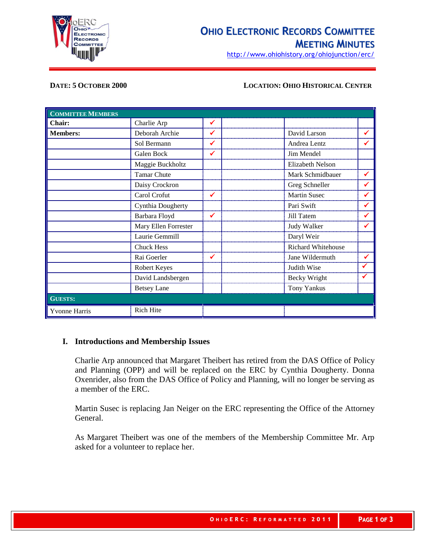

# **OHIO ELECTRONIC RECORDS COMMITTEE MEETING MINUTES**

http://www.ohiohistory.org/ohiojunction/erc/

#### **DATE: 5 OCTOBER 2000 LOCATION: OHIO HISTORICAL CENTER**

| <b>COMMITTEE MEMBERS</b> |                      |   |                         |   |
|--------------------------|----------------------|---|-------------------------|---|
| Chair:                   | Charlie Arp          | ✔ |                         |   |
| <b>Members:</b>          | Deborah Archie       | ✓ | David Larson            |   |
|                          | Sol Bermann          | ✔ | Andrea Lentz            |   |
|                          | Galen Bock           | ✔ | Jim Mendel              |   |
|                          | Maggie Buckholtz     |   | <b>Elizabeth Nelson</b> |   |
|                          | <b>Tamar Chute</b>   |   | Mark Schmidbauer        | ✔ |
|                          | Daisy Crockron       |   | Greg Schneller          | ✔ |
|                          | Carol Crofut         | ✔ | <b>Martin Susec</b>     | ✔ |
|                          | Cynthia Dougherty    |   | Pari Swift              |   |
|                          | Barbara Floyd        | ✓ | Jill Tatem              |   |
|                          | Mary Ellen Forrester |   | Judy Walker             |   |
|                          | Laurie Gemmill       |   | Daryl Weir              |   |
|                          | <b>Chuck Hess</b>    |   | Richard Whitehouse      |   |
|                          | Rai Goerler          | ✔ | Jane Wildermuth         |   |
|                          | Robert Keyes         |   | Judith Wise             |   |
|                          | David Landsbergen    |   | Becky Wright            |   |
|                          | <b>Betsey Lane</b>   |   | <b>Tony Yankus</b>      |   |
| <b>GUESTS:</b>           |                      |   |                         |   |
| <b>Yvonne Harris</b>     | <b>Rich Hite</b>     |   |                         |   |

# **I. Introductions and Membership Issues**

Charlie Arp announced that Margaret Theibert has retired from the DAS Office of Policy and Planning (OPP) and will be replaced on the ERC by Cynthia Dougherty. Donna Oxenrider, also from the DAS Office of Policy and Planning, will no longer be serving as a member of the ERC.

Martin Susec is replacing Jan Neiger on the ERC representing the Office of the Attorney General.

As Margaret Theibert was one of the members of the Membership Committee Mr. Arp asked for a volunteer to replace her.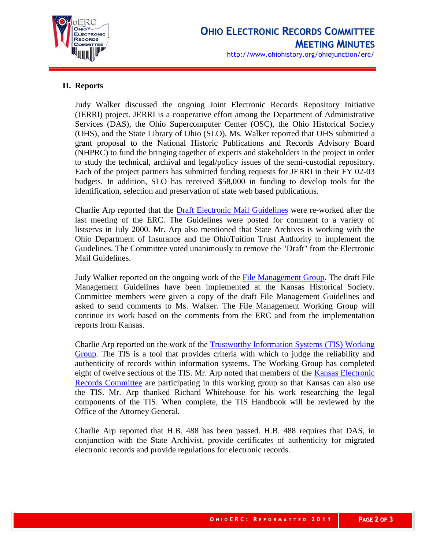

# **II. Reports**

Judy Walker discussed the ongoing Joint Electronic Records Repository Initiative (JERRI) project. JERRI is a cooperative effort among the Department of Administrative Services (DAS), the Ohio Supercomputer Center (OSC), the Ohio Historical Society (OHS), and the State Library of Ohio (SLO). Ms. Walker reported that OHS submitted a grant proposal to the National Historic Publications and Records Advisory Board (NHPRC) to fund the bringing together of experts and stakeholders in the project in order to study the technical, archival and legal/policy issues of the semi-custodial repository. Each of the project partners has submitted funding requests for JERRI in their FY 02-03 budgets. In addition, SLO has received \$58,000 in funding to develop tools for the identification, selection and preservation of state web based publications.

Charlie Arp reported that the [Draft Electronic Mail Guidelines](http://www.ohiohistoryhost.org/ERC/email/emailguidelines.html) were re-worked after the last meeting of the ERC. The Guidelines were posted for comment to a variety of listservs in July 2000. Mr. Arp also mentioned that State Archives is working with the Ohio Department of Insurance and the OhioTuition Trust Authority to implement the Guidelines. The Committee voted unanimously to remove the "Draft" from the Electronic Mail Guidelines.

Judy Walker reported on the ongoing work of the [File Management Group.](http://www.ohiohistoryhost.org/ERC/filemanage.html) The draft File Management Guidelines have been implemented at the Kansas Historical Society. Committee members were given a copy of the draft File Management Guidelines and asked to send comments to Ms. Walker. The File Management Working Group will continue its work based on the comments from the ERC and from the implementation reports from Kansas.

Charlie Arp reported on the work of the [Trustworthy Information Systems \(TIS\) Working](http://www.ohiohistoryhost.org/ERC/tis.html)  [Group.](http://www.ohiohistoryhost.org/ERC/tis.html) The TIS is a tool that provides criteria with which to judge the reliability and authenticity of records within information systems. The Working Group has completed eight of twelve sections of the TIS. Mr. Arp noted that members of the Kansas Electronic [Records Committee](http://da.state.ks.us/itab/erc/) are participating in this working group so that Kansas can also use the TIS. Mr. Arp thanked Richard Whitehouse for his work researching the legal components of the TIS. When complete, the TIS Handbook will be reviewed by the Office of the Attorney General.

Charlie Arp reported that H.B. 488 has been passed. H.B. 488 requires that DAS, in conjunction with the State Archivist, provide certificates of authenticity for migrated electronic records and provide regulations for electronic records.